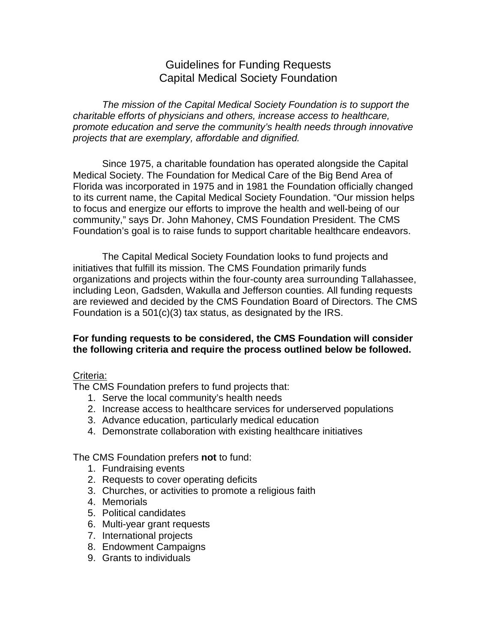# Guidelines for Funding Requests Capital Medical Society Foundation

*The mission of the Capital Medical Society Foundation is to support the charitable efforts of physicians and others, increase access to healthcare, promote education and serve the community's health needs through innovative projects that are exemplary, affordable and dignified.*

Since 1975, a charitable foundation has operated alongside the Capital Medical Society. The Foundation for Medical Care of the Big Bend Area of Florida was incorporated in 1975 and in 1981 the Foundation officially changed to its current name, the Capital Medical Society Foundation. "Our mission helps to focus and energize our efforts to improve the health and well-being of our community," says Dr. John Mahoney, CMS Foundation President. The CMS Foundation's goal is to raise funds to support charitable healthcare endeavors.

The Capital Medical Society Foundation looks to fund projects and initiatives that fulfill its mission. The CMS Foundation primarily funds organizations and projects within the four-county area surrounding Tallahassee, including Leon, Gadsden, Wakulla and Jefferson counties. All funding requests are reviewed and decided by the CMS Foundation Board of Directors. The CMS Foundation is a 501(c)(3) tax status, as designated by the IRS.

## **For funding requests to be considered, the CMS Foundation will consider the following criteria and require the process outlined below be followed.**

## Criteria:

The CMS Foundation prefers to fund projects that:

- 1. Serve the local community's health needs
- 2. Increase access to healthcare services for underserved populations
- 3. Advance education, particularly medical education
- 4. Demonstrate collaboration with existing healthcare initiatives

The CMS Foundation prefers **not** to fund:

- 1. Fundraising events
- 2. Requests to cover operating deficits
- 3. Churches, or activities to promote a religious faith
- 4. Memorials
- 5. Political candidates
- 6. Multi-year grant requests
- 7. International projects
- 8. Endowment Campaigns
- 9. Grants to individuals